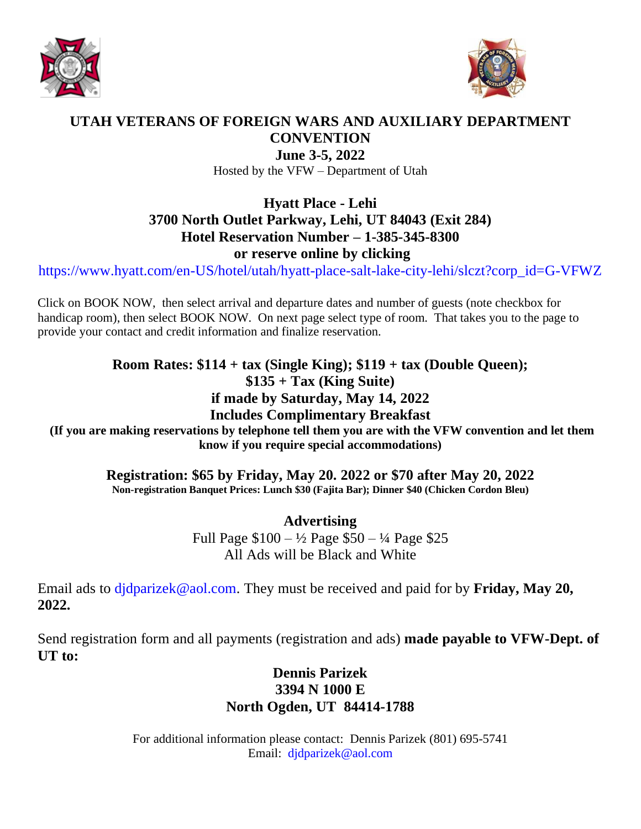



#### **UTAH VETERANS OF FOREIGN WARS AND AUXILIARY DEPARTMENT CONVENTION**

**June 3-5, 2022** Hosted by the VFW – Department of Utah

# **Hyatt Place - Lehi 3700 North Outlet Parkway, Lehi, UT 84043 (Exit 284) Hotel Reservation Number – 1-385-345-8300 or reserve online by clicking**

[https://www.hyatt.com/en-US/hotel/utah/hyatt-place-salt-lake-city-lehi/slczt?corp\\_id=G-VFWZ](https://www.hyatt.com/en-US/hotel/utah/hyatt-place-salt-lake-city-lehi/slczt?corp_id=G-VFWZ)

Click on BOOK NOW, then select arrival and departure dates and number of guests (note checkbox for handicap room), then select BOOK NOW. On next page select type of room. That takes you to the page to provide your contact and credit information and finalize reservation.

# **Room Rates: \$114 + tax (Single King); \$119 + tax (Double Queen); \$135 + Tax (King Suite) if made by Saturday, May 14, 2022**

### **Includes Complimentary Breakfast**

**(If you are making reservations by telephone tell them you are with the VFW convention and let them know if you require special accommodations)** 

> **Registration: \$65 by Friday, May 20. 2022 or \$70 after May 20, 2022 Non-registration Banquet Prices: Lunch \$30 (Fajita Bar); Dinner \$40 (Chicken Cordon Bleu)**

> > **Advertising**  Full Page \$100 – ½ Page \$50 – ¼ Page \$25 All Ads will be Black and White

Email ads to [djdparizek@aol.com.](mailto:djdparizek@aol.com) They must be received and paid for by **Friday, May 20, 2022.**

Send registration form and all payments (registration and ads) **made payable to VFW-Dept. of UT to:**

# **Dennis Parizek 3394 N 1000 E North Ogden, UT 84414-1788**

For additional information please contact: Dennis Parizek (801) 695-5741 Email: [djdparizek@aol.com](mailto:djdparizek@aol.com)